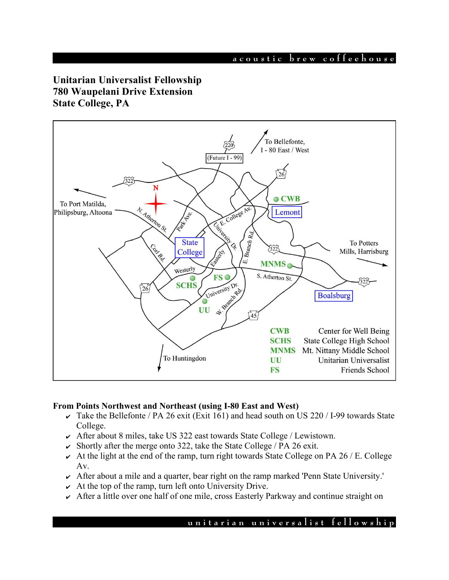# **Unitarian Universalist Fellowship 780 Waupelani Drive Extension State College, PA**



### **From Points Northwest and Northeast (using I-80 East and West)**

- $\overline{\smash{\mathsf{K}}}$  Take the Bellefonte / PA 26 exit (Exit 161) and head south on US 220 / I-99 towards State College.
- $\sim$  After about 8 miles, take US 322 east towards State College / Lewistown.
- $\triangleright$  Shortly after the merge onto 322, take the State College / PA 26 exit.
- $\sim$  At the light at the end of the ramp, turn right towards State College on PA 26 / E. College Av.
- $\sim$  After about a mile and a quarter, bear right on the ramp marked 'Penn State University.'
- $\sim$  At the top of the ramp, turn left onto University Drive.
- $\sim$  After a little over one half of one mile, cross Easterly Parkway and continue straight on